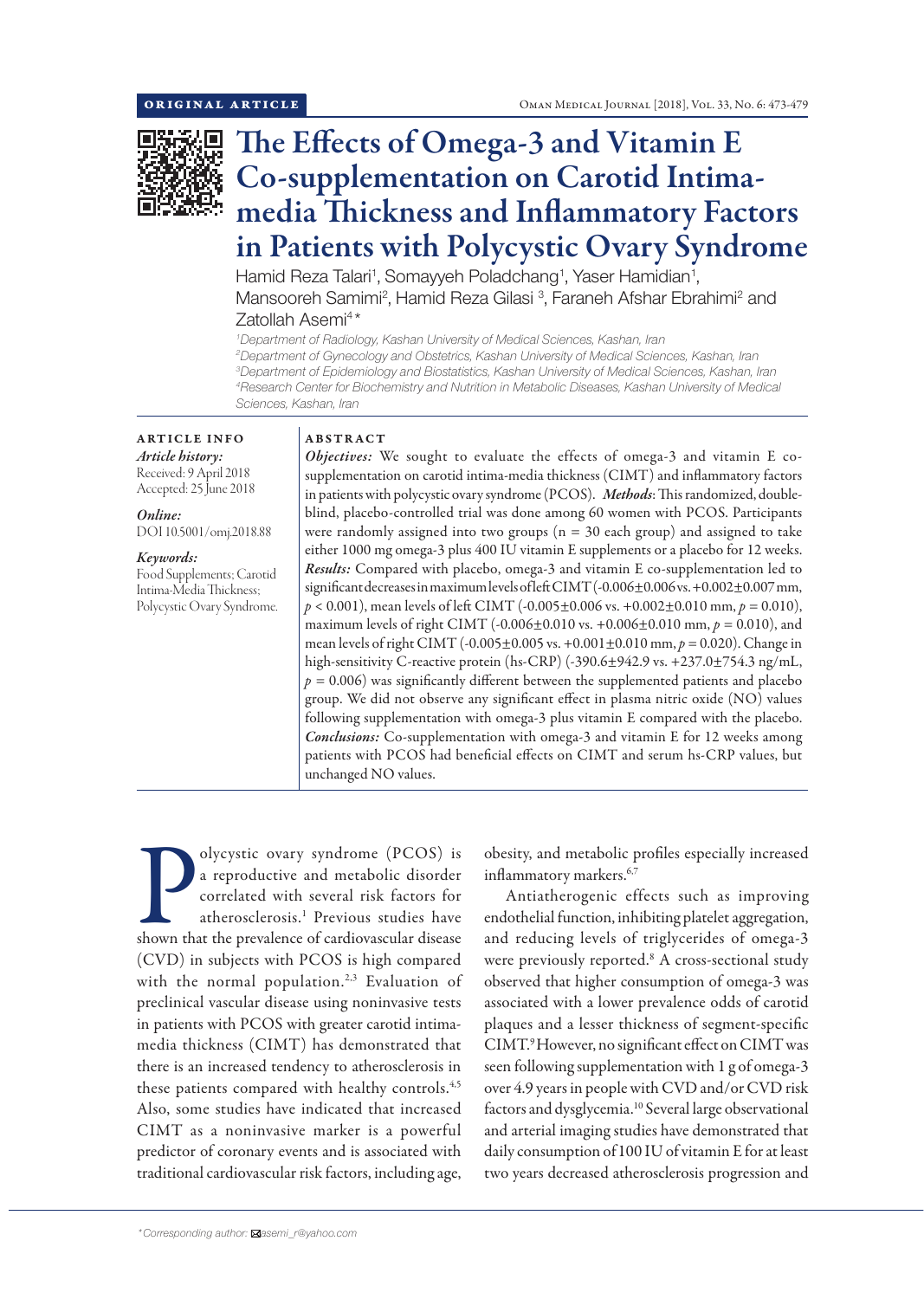

# The Effects of Omega-3 and Vitamin E Co-supplementation on Carotid Intimamedia Thickness and Inflammatory Factors in Patients with Polycystic Ovary Syndrome

Hamid Reza Talari<sup>1</sup>, Somayyeh Poladchang<sup>1</sup>, Yaser Hamidian<sup>1</sup>, Mansooreh Samimi<sup>2</sup>, Hamid Reza Gilasi <sup>3</sup>, Faraneh Afshar Ebrahimi<sup>2</sup> and Zatollah Asemi<sup>4\*</sup>

 *Department of Radiology, Kashan University of Medical Sciences, Kashan, Iran Department of Gynecology and Obstetrics, Kashan University of Medical Sciences, Kashan, Iran Department of Epidemiology and Biostatistics, Kashan University of Medical Sciences, Kashan, Iran Research Center for Biochemistry and Nutrition in Metabolic Diseases, Kashan University of Medical Sciences, Kashan, Iran*

ARTICLE INFO *Article history:* Received: 9 April 2018 Accepted: 25 June 2018

*Online:* DOI 10.5001/omj.2018.88

*Keywords:*  Food Supplements; Carotid Intima-Media Thickness; Polycystic Ovary Syndrome.

# ABSTRACT

*Objectives:* We sought to evaluate the effects of omega-3 and vitamin E cosupplementation on carotid intima-media thickness (CIMT) and inflammatory factors in patients with polycystic ovary syndrome (PCOS). *Methods*: This randomized, doubleblind, placebo-controlled trial was done among 60 women with PCOS. Participants were randomly assigned into two groups ( $n = 30$  each group) and assigned to take either 1000 mg omega-3 plus 400 IU vitamin E supplements or a placebo for 12 weeks. *Results:* Compared with placebo, omega-3 and vitamin E co-supplementation led to significant decreases in maximum levels of left CIMT (-0.006±0.006 vs. +0.002±0.007 mm, *p* < 0.001), mean levels of left CIMT (-0.005±0.006 vs. +0.002±0.010 mm, *p =* 0.010), maximum levels of right CIMT (-0.006±0.010 vs. +0.006±0.010 mm, *p =* 0.010), and mean levels of right CIMT (-0.005±0.005 vs. +0.001±0.010 mm, *p =* 0.020). Change in high-sensitivity C-reactive protein (hs-CRP) (-390.6±942.9 vs. +237.0±754.3 ng/mL,  $p = 0.006$ ) was significantly different between the supplemented patients and placebo group. We did not observe any significant effect in plasma nitric oxide (NO) values following supplementation with omega-3 plus vitamin E compared with the placebo. *Conclusions:* Co-supplementation with omega-3 and vitamin E for 12 weeks among patients with PCOS had beneficial effects on CIMT and serum hs-CRP values, but unchanged NO values.

Obycystic ovary syndrome (PCOS) is<br>a reproductive and metabolic disorder<br>correlated with several risk factors for<br>atherosclerosis.<sup>1</sup> Previous studies have<br>shown that the prevalence of cardiovascular disease olycystic ovary syndrome (PCOS) is a reproductive and metabolic disorder correlated with several risk factors for atherosclerosis.1 Previous studies have (CVD) in subjects with PCOS is high compared with the normal population.<sup>2,3</sup> Evaluation of preclinical vascular disease using noninvasive tests in patients with PCOS with greater carotid intimamedia thickness (CIMT) has demonstrated that there is an increased tendency to atherosclerosis in these patients compared with healthy controls.<sup>4,5</sup> Also, some studies have indicated that increased CIMT as a noninvasive marker is a powerful predictor of coronary events and is associated with traditional cardiovascular risk factors, including age,

obesity, and metabolic profiles especially increased inflammatory markers.<sup>6,7</sup>

Antiatherogenic effects such as improving endothelial function, inhibiting platelet aggregation, and reducing levels of triglycerides of omega-3 were previously reported.<sup>8</sup> A cross-sectional study observed that higher consumption of omega-3 was associated with a lower prevalence odds of carotid plaques and a lesser thickness of segment-specific CIMT.9 However, no significant effect on CIMT was seen following supplementation with 1 g of omega-3 over 4.9 years in people with CVD and/or CVD risk factors and dysglycemia.10 Several large observational and arterial imaging studies have demonstrated that daily consumption of100 IU of vitamin E for at least two years decreased atherosclerosis progression and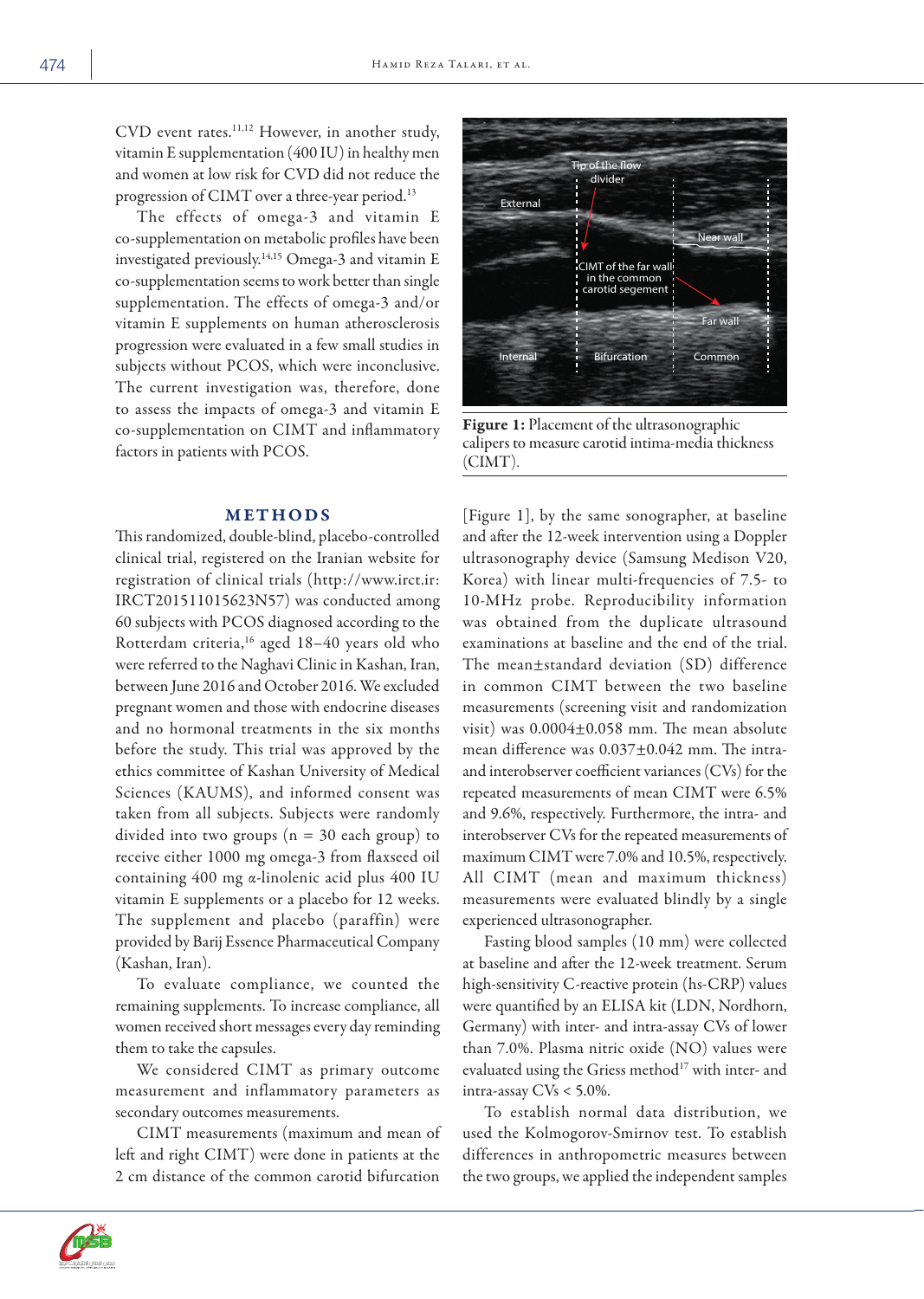CVD event rates.<sup>11,12</sup> However, in another study, vitamin E supplementation (400 IU) in healthy men and women at low risk for CVD did not reduce the progression of CIMT over a three-year period.<sup>13</sup>

The effects of omega-3 and vitamin E co-supplementation on metabolic profiles have been investigated previously.14,15 Omega-3 and vitamin E co-supplementation seems to work better than single supplementation. The effects of omega-3 and/or vitamin E supplements on human atherosclerosis progression were evaluated in a few small studies in subjects without PCOS, which were inconclusive. The current investigation was, therefore, done to assess the impacts of omega-3 and vitamin E co-supplementation on CIMT and inflammatory factors in patients with PCOS.

## METHODS

This randomized, double-blind, placebo-controlled clinical trial, registered on the Iranian website for registration of clinical trials (http://www.irct.ir: IRCT201511015623N57) was conducted among 60 subjects with PCOS diagnosed according to the Rotterdam criteria,<sup>16</sup> aged 18-40 years old who were referred to the Naghavi Clinic in Kashan, Iran, between June 2016 and October 2016. We excluded pregnant women and those with endocrine diseases and no hormonal treatments in the six months before the study. This trial was approved by the ethics committee of Kashan University of Medical Sciences (KAUMS), and informed consent was taken from all subjects. Subjects were randomly divided into two groups ( $n = 30$  each group) to receive either 1000 mg omega-3 from flaxseed oil containing 400 mg α-linolenic acid plus 400 IU vitamin E supplements or a placebo for 12 weeks. The supplement and placebo (paraffin) were provided by Barij Essence Pharmaceutical Company (Kashan, Iran).

To evaluate compliance, we counted the remaining supplements. To increase compliance, all women received short messages every day reminding them to take the capsules.

We considered CIMT as primary outcome measurement and inflammatory parameters as secondary outcomes measurements.

CIMT measurements (maximum and mean of left and right CIMT) were done in patients at the 2 cm distance of the common carotid bifurcation



Figure 1: Placement of the ultrasonographic calipers to measure carotid intima-media thickness (CIMT).

[Figure 1], by the same sonographer, at baseline and after the 12-week intervention using a Doppler ultrasonography device (Samsung Medison V20, Korea) with linear multi-frequencies of 7.5- to 10-MHz probe. Reproducibility information was obtained from the duplicate ultrasound examinations at baseline and the end of the trial. The mean±standard deviation (SD) difference in common CIMT between the two baseline measurements (screening visit and randomization visit) was 0.0004±0.058 mm. The mean absolute mean difference was 0.037±0.042 mm. The intraand interobserver coefficient variances (CVs) for the repeated measurements of mean CIMT were 6.5% and 9.6%, respectively. Furthermore, the intra- and interobserver CVs for the repeated measurements of maximum CIMT were 7.0% and 10.5%, respectively. All CIMT (mean and maximum thickness) measurements were evaluated blindly by a single experienced ultrasonographer.

Fasting blood samples (10 mm) were collected at baseline and after the 12-week treatment. Serum high-sensitivity C-reactive protein (hs-CRP) values were quantified by an ELISA kit (LDN, Nordhorn, Germany) with inter- and intra-assay CVs of lower than 7.0%. Plasma nitric oxide (NO) values were evaluated using the Griess method<sup>17</sup> with inter- and intra-assay  $CVs < 5.0\%$ .

To establish normal data distribution, we used the Kolmogorov-Smirnov test. To establish differences in anthropometric measures between the two groups, we applied the independent samples

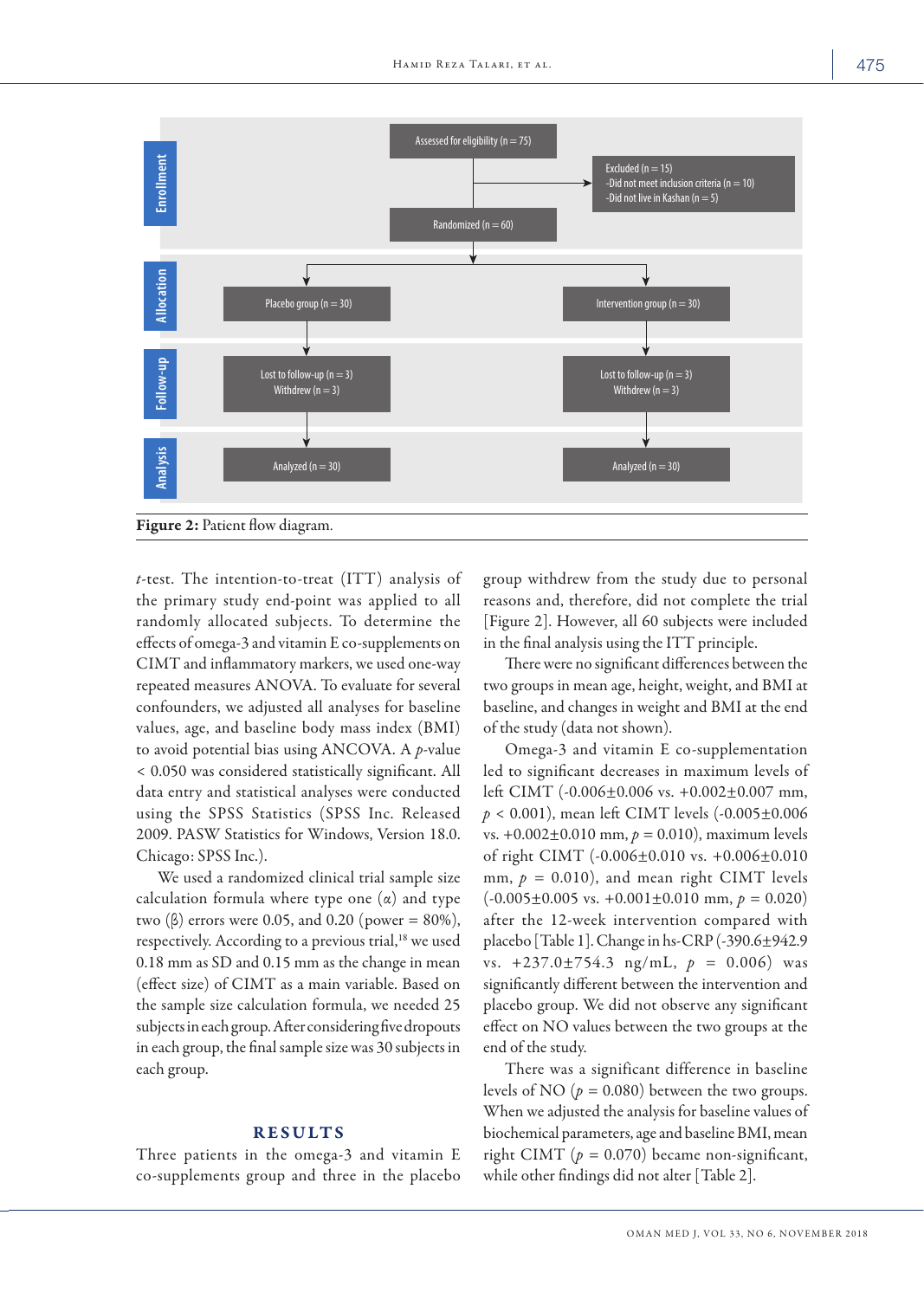

**Figure 2:** Patient flow diagram.

*t*-test. The intention-to-treat (ITT) analysis of the primary study end-point was applied to all randomly allocated subjects. To determine the effects of omega-3 and vitamin E co-supplements on CIMT and inflammatory markers, we used one-way repeated measures ANOVA. To evaluate for several confounders, we adjusted all analyses for baseline values, age, and baseline body mass index (BMI) to avoid potential bias using ANCOVA. A *p*-value < 0.050 was considered statistically significant. All data entry and statistical analyses were conducted using the SPSS Statistics (SPSS Inc. Released 2009. PASW Statistics for Windows, Version 18.0. Chicago: SPSS Inc.).

We used a randomized clinical trial sample size calculation formula where type one  $(\alpha)$  and type two (β) errors were 0.05, and 0.20 (power = 80%), respectively. According to a previous trial,<sup>18</sup> we used 0.18 mm as SD and 0.15 mm as the change in mean (effect size) of CIMT as a main variable. Based on the sample size calculation formula, we needed 25 subjects in each group. After considering five dropouts in each group, the final sample size was 30 subjects in each group.

## RESULTS

Three patients in the omega-3 and vitamin E co-supplements group and three in the placebo group withdrew from the study due to personal reasons and, therefore, did not complete the trial [Figure 2]. However, all 60 subjects were included in the final analysis using the ITT principle.

There were no significant differences between the two groups in mean age, height, weight, and BMI at baseline, and changes in weight and BMI at the end of the study (data not shown).

Omega-3 and vitamin E co-supplementation led to significant decreases in maximum levels of left CIMT (-0.006±0.006 vs. +0.002±0.007 mm, *p* < 0.001), mean left CIMT levels (-0.005±0.006 vs. +0.002±0.010 mm, *p =* 0.010), maximum levels of right CIMT (-0.006±0.010 vs. +0.006±0.010 mm,  $p = 0.010$ ), and mean right CIMT levels  $(-0.005 \pm 0.005 \text{ vs. } +0.001 \pm 0.010 \text{ mm}, p = 0.020)$ after the 12-week intervention compared with placebo [Table 1]. Change in hs-CRP (-390.6±942.9 vs. +237.0±754.3 ng/mL, *p =* 0.006) was significantly different between the intervention and placebo group. We did not observe any significant effect on NO values between the two groups at the end of the study.

There was a significant difference in baseline levels of NO  $(p = 0.080)$  between the two groups. When we adjusted the analysis for baseline values of biochemical parameters, age and baseline BMI, mean right CIMT ( $p = 0.070$ ) became non-significant, while other findings did not alter [Table 2].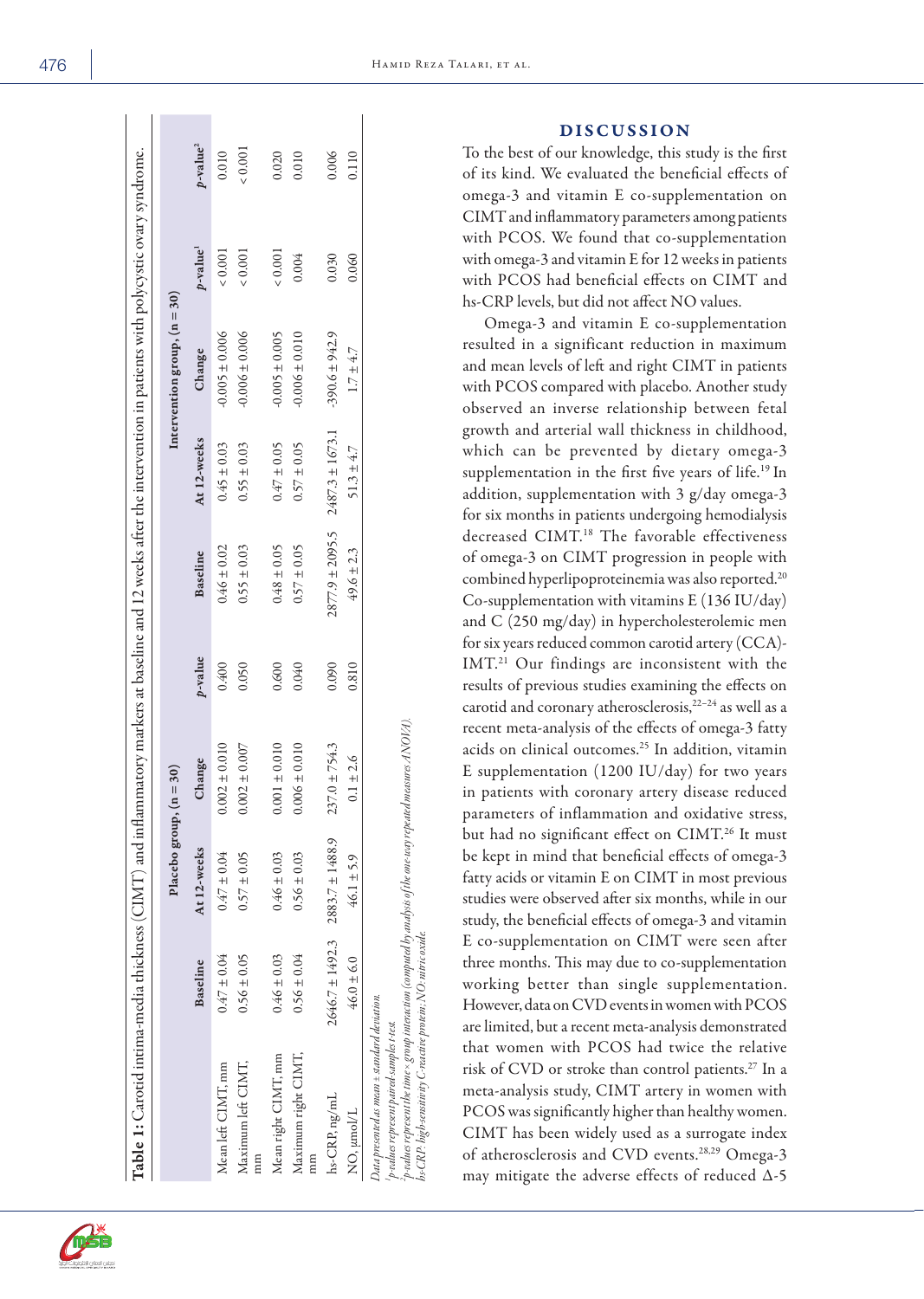|                                                                                                                                                                                                                                                                                        |                 | Placebo group, $(n = 30)$               |                   |         |                     |                     | Intervention group, $(n = 30)$ |                      |                      |
|----------------------------------------------------------------------------------------------------------------------------------------------------------------------------------------------------------------------------------------------------------------------------------------|-----------------|-----------------------------------------|-------------------|---------|---------------------|---------------------|--------------------------------|----------------------|----------------------|
|                                                                                                                                                                                                                                                                                        | Baseline        | At 12-weeks                             | Change            | p-value | Baseline            | At 12-weeks         | Change                         | p-value <sup>1</sup> | p-value <sup>2</sup> |
| Mean left CIMT, mm                                                                                                                                                                                                                                                                     | $0.47 \pm 0.04$ | $0.47 \pm 0.04$                         | $0.002 \pm 0.010$ | 0.400   | $0.46 \pm 0.02$     | $0.45 \pm 0.03$     | $-0.005 \pm 0.006$             | ${}< 0.001$          | 0.010                |
| Maximum left CIMT,<br>mm                                                                                                                                                                                                                                                               | $0.56 \pm 0.05$ | $0.57 \pm 0.05$                         | $0.002 \pm 0.007$ | 0.050   | $0.55 \pm 0.03$     | $0.55 \pm 0.03$     | $-0.006 \pm 0.006$             | 0.001                | $\times 0.001$       |
| Mean right CIMT, mm                                                                                                                                                                                                                                                                    | $0.46 \pm 0.03$ | $0.46 \pm 0.03$                         | $0.001 \pm 0.010$ | 0.600   | $0.48 \pm 0.05$     | $0.47 \pm 0.05$     | $-0.005 \pm 0.005$             | 0.001                | 0.020                |
| Maximum right CIMT,<br>$\lim$                                                                                                                                                                                                                                                          | $0.56 \pm 0.04$ | $0.56 \pm 0.03$                         | $0.006 \pm 0.010$ | 0.040   | $0.57 \pm 0.05$     | $0.57 \pm 0.05$     | $-0.006 \pm 0.010$             | 0.004                | 0.010                |
| hs-CRP, ng/mL                                                                                                                                                                                                                                                                          |                 | $2646.7 \pm 1492.3$ $2883.7 \pm 1488.9$ | $237.0 \pm 754.3$ | 0.090   | $2877.9 \pm 2095.5$ | $2487.3 \pm 1673.1$ | $-390.6 \pm 942.9$             | 0.030                | 0.006                |
| NO, µmol/L                                                                                                                                                                                                                                                                             | $46.0 \pm 6.0$  | $46.1 \pm 5.9$                          | $0.1 \pm 2.6$     | 0.810   | $49.6 \pm 2.3$      | $51.3 \pm 4.7$      | $1.7\pm4.7$                    | 0.060                | 0.110                |
| $\gamma$ -values represent the time × group interaction (computed by analysis of the one-way repeated measures ANOVA).<br>hs-CRP: high-sensitivity C-reactive protein; NO: nitric oxide.<br>Data presented as mean ± standard deviation.<br>'p-values represent paired-samples t-test. |                 |                                         |                   |         |                     |                     |                                |                      |                      |

DISCUSSION

To the best of our knowledge, this study is the first of its kind. We evaluated the beneficial effects of omega-3 and vitamin E co-supplementation on CIMT and inflammatory parameters among patients with PCOS. We found that co-supplementation with omega-3 and vitamin E for 12 weeks in patients with PCOS had beneficial effects on CIMT and hs-CRP levels, but did not affect NO values.

Omega-3 and vitamin E co-supplementation resulted in a significant reduction in maximum and mean levels of left and right CIMT in patients with PCOS compared with placebo. Another study observed an inverse relationship between fetal growth and arterial wall thickness in childhood, which can be prevented by dietary omega-3 supplementation in the first five years of life.<sup>19</sup> In addition, supplementation with 3 g/day omega-3 for six months in patients undergoing hemodialysis decreased CIMT.<sup>18</sup> The favorable effectiveness of omega-3 on CIMT progression in people with combined hyperlipoproteinemia was also reported.20 Co-supplementation with vitamins E (136 IU/day) and C (250 mg/day) in hypercholesterolemic men for six years reduced common carotid artery (CCA)- IMT.21 Our findings are inconsistent with the results of previous studies examining the effects on carotid and coronary atherosclerosis,22–24 as well as a recent meta-analysis of the effects of omega-3 fatty acids on clinical outcomes.25 In addition, vitamin E supplementation (1200 IU/day) for two years in patients with coronary artery disease reduced parameters of inflammation and oxidative stress, but had no significant effect on CIMT.26 It must be kept in mind that beneficial effects of omega-3 fatty acids or vitamin E on CIMT in most previous studies were observed after six months, while in our study, the beneficial effects of omega-3 and vitamin E co-supplementation on CIMT were seen after three months. This may due to co-supplementation working better than single supplementation. However, data on CVD events in women with PCOS are limited, but a recent meta-analysis demonstrated that women with PCOS had twice the relative risk of CVD or stroke than control patients.27 In a meta-analysis study, CIMT artery in women with PCOS was significantly higher than healthy women. CIMT has been widely used as a surrogate index of atherosclerosis and CVD events.28,29 Omega-3 may mitigate the adverse effects of reduced Δ-5

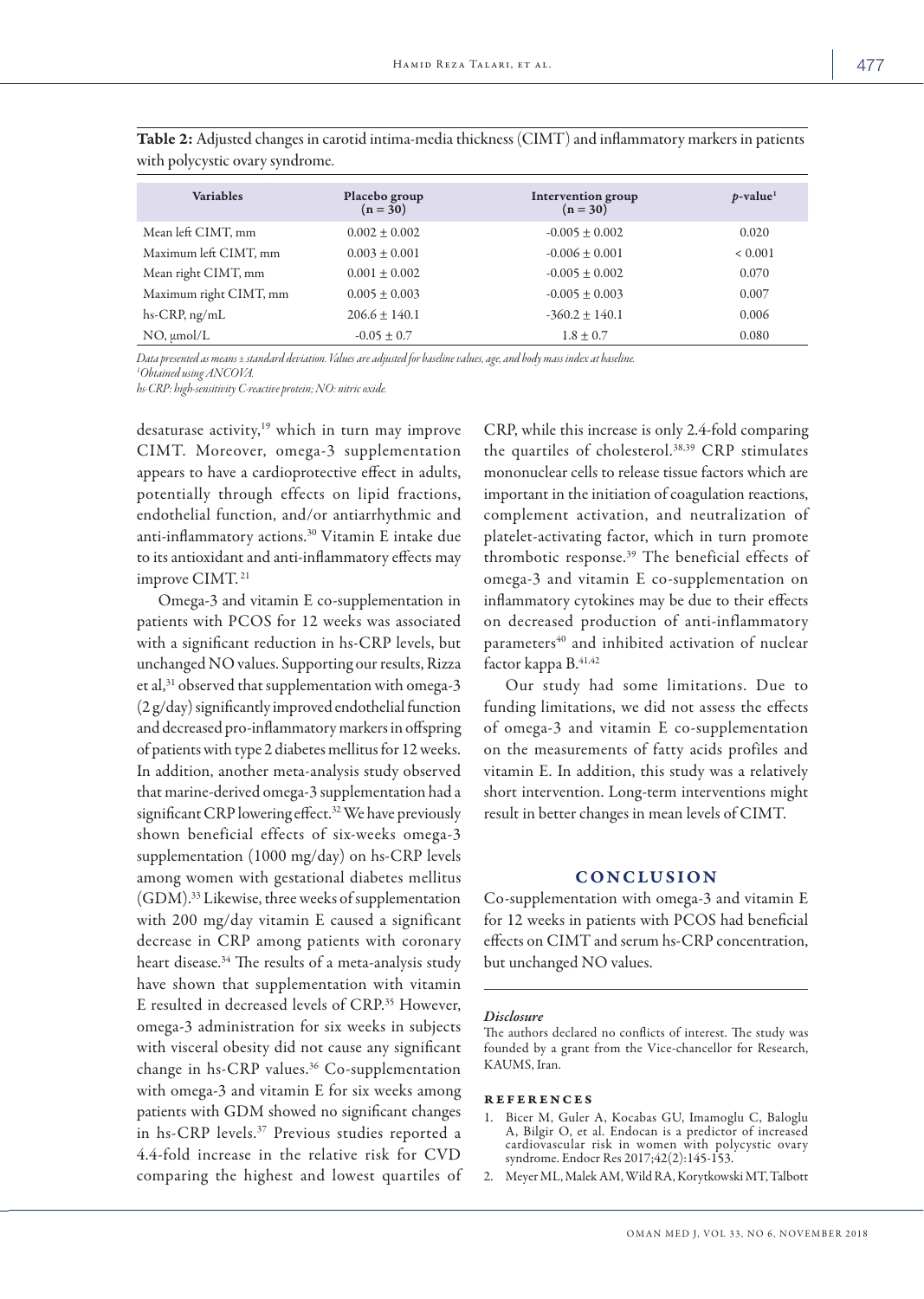| <b>Variables</b>       | Placebo group<br>$(n = 30)$ | Intervention group<br>$(n = 30)$ | $p$ -value <sup>1</sup> |
|------------------------|-----------------------------|----------------------------------|-------------------------|
| Mean left CIMT, mm     | $0.002 \pm 0.002$           | $-0.005 \pm 0.002$               | 0.020                   |
| Maximum left CIMT, mm  | $0.003 \pm 0.001$           | $-0.006 \pm 0.001$               | ${}< 0.001$             |
| Mean right CIMT, mm    | $0.001 \pm 0.002$           | $-0.005 \pm 0.002$               | 0.070                   |
| Maximum right CIMT, mm | $0.005 \pm 0.003$           | $-0.005 \pm 0.003$               | 0.007                   |
| hs-CRP, ng/mL          | $206.6 \pm 140.1$           | $-360.2 + 140.1$                 | 0.006                   |
| $NO, \mu$ mol/L        | $-0.05 \pm 0.7$             | $1.8 \pm 0.7$                    | 0.080                   |

Table 2: Adjusted changes in carotid intima-media thickness (CIMT) and inflammatory markers in patients with polycystic ovary syndrome.

*Data presented as means ± standard deviation. Values are adjusted for baseline values, age, and body mass index at baseline. 1 Obtained using ANCOVA.*

*hs-CRP: high-sensitivity C-reactive protein; NO: nitric oxide.*

desaturase activity,<sup>19</sup> which in turn may improve CIMT. Moreover, omega-3 supplementation appears to have a cardioprotective effect in adults, potentially through effects on lipid fractions, endothelial function, and/or antiarrhythmic and anti-inflammatory actions.30 Vitamin E intake due to its antioxidant and anti-inflammatory effects may improve CIMT. 21

Omega-3 and vitamin E co-supplementation in patients with PCOS for 12 weeks was associated with a significant reduction in hs-CRP levels, but unchanged NO values. Supporting our results, Rizza et al,<sup>31</sup> observed that supplementation with omega-3 (2 g/day) significantly improved endothelial function and decreased pro-inflammatory markers in offspring of patients with type 2 diabetes mellitus for 12 weeks. In addition, another meta-analysis study observed that marine-derived omega-3 supplementation had a significant CRP lowering effect.32 We have previously shown beneficial effects of six-weeks omega-3 supplementation (1000 mg/day) on hs-CRP levels among women with gestational diabetes mellitus (GDM).33 Likewise, three weeks of supplementation with 200 mg/day vitamin E caused a significant decrease in CRP among patients with coronary heart disease.34 The results of a meta-analysis study have shown that supplementation with vitamin E resulted in decreased levels of CRP.35 However, omega-3 administration for six weeks in subjects with visceral obesity did not cause any significant change in hs-CRP values.36 Co-supplementation with omega-3 and vitamin E for six weeks among patients with GDM showed no significant changes in hs-CRP levels.37 Previous studies reported a 4.4-fold increase in the relative risk for CVD comparing the highest and lowest quartiles of

CRP, while this increase is only 2.4-fold comparing the quartiles of cholesterol.38,39 CRP stimulates mononuclear cells to release tissue factors which are important in the initiation of coagulation reactions, complement activation, and neutralization of platelet-activating factor, which in turn promote thrombotic response.39 The beneficial effects of omega-3 and vitamin E co-supplementation on inflammatory cytokines may be due to their effects on decreased production of anti-inflammatory parameters<sup>40</sup> and inhibited activation of nuclear factor kappa B. 41,42

Our study had some limitations. Due to funding limitations, we did not assess the effects of omega-3 and vitamin E co-supplementation on the measurements of fatty acids profiles and vitamin E. In addition, this study was a relatively short intervention. Long-term interventions might result in better changes in mean levels of CIMT.

## **CONCLUSION**

Co-supplementation with omega-3 and vitamin E for 12 weeks in patients with PCOS had beneficial effects on CIMT and serum hs-CRP concentration, but unchanged NO values.

#### *Disclosure*

The authors declared no conflicts of interest. The study was founded by a grant from the Vice-chancellor for Research, KAUMS, Iran.

### references

- 1. Bicer M, Guler A, Kocabas GU, Imamoglu C, Baloglu A, Bilgir O, et al. Endocan is a predictor of increased cardiovascular risk in women with polycystic ovary syndrome. Endocr Res 2017;42(2):145-153.
- 2. Meyer ML, Malek AM, Wild RA, Korytkowski MT, Talbott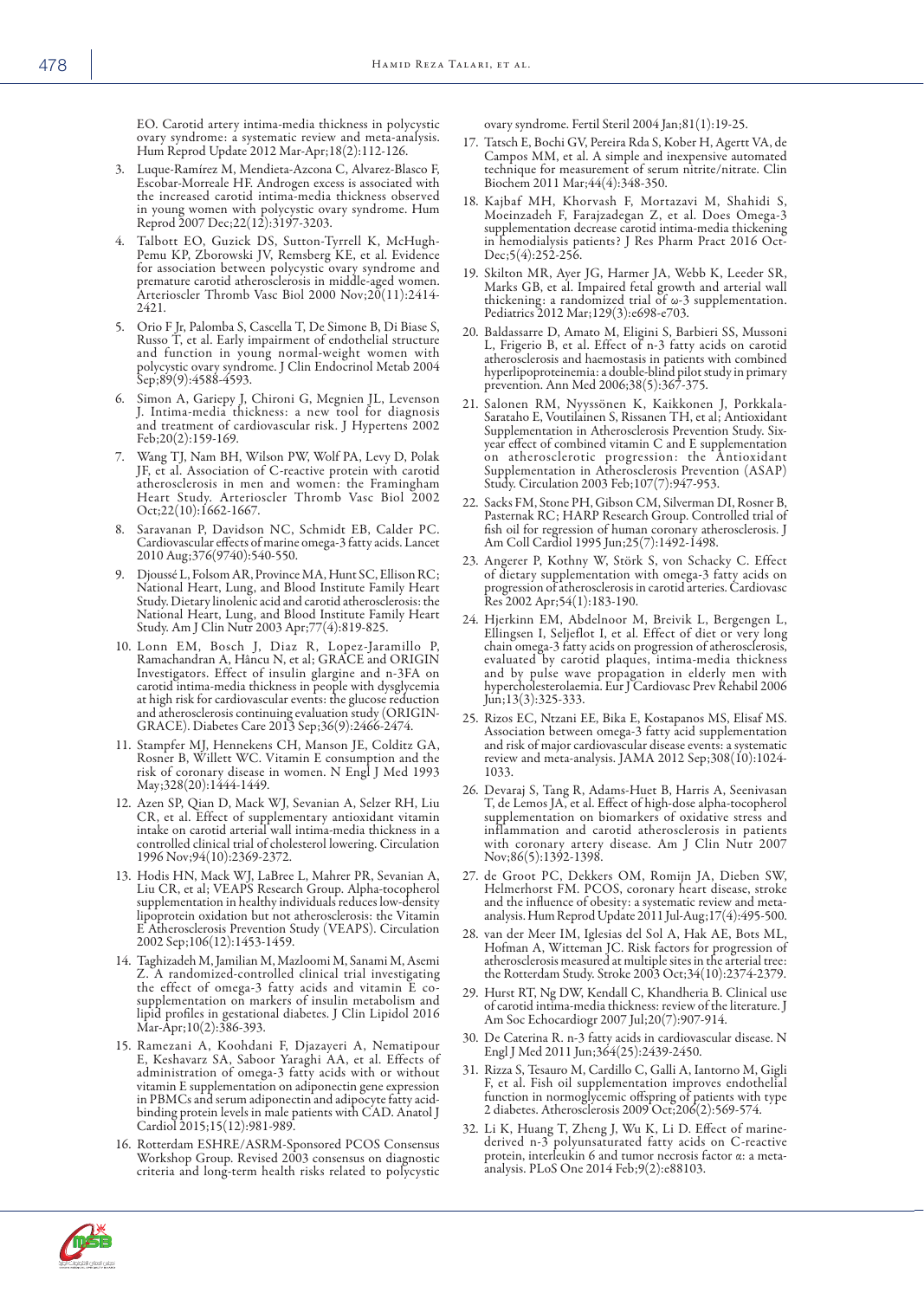EO. Carotid artery intima-media thickness in polycystic ovary syndrome: a systematic review and meta-analysis. Hum Reprod Update 2012 Mar-Apr;18(2):112-126.

- 3. Luque-Ramírez M, Mendieta-Azcona C, Alvarez-Blasco F, Escobar-Morreale HF. Androgen excess is associated with the increased carotid intima-media thickness observed in young women with polycystic ovary syndrome. Hum Reprod 2007 Dec;22(12):3197-3203.
- Talbott EO, Guzick DS, Sutton-Tyrrell K, McHugh-Pemu KP, Zborowski JV, Remsberg KE, et al. Evidence for association between polycystic ovary syndrome and premature carotid atherosclerosis in middle-aged women. Arterioscler Thromb Vasc Biol 2000 Nov;20(11):2414- 2421.
- 5. Orio F Jr, Palomba S, Cascella T, De Simone B, Di Biase S, Russo T, et al. Early impairment of endothelial structure and function in young normal-weight women with polycystic ovary syndrome. J Clin Endocrinol Metab 2004 Sep;89(9):4588-4593.
- 6. Simon A, Gariepy J, Chironi G, Megnien JL, Levenson J. Intima-media thickness: a new tool for diagnosis and treatment of cardiovascular risk. J Hypertens 2002 Feb;20(2):159-169.
- 7. Wang TJ, Nam BH, Wilson PW, Wolf PA, Levy D, Polak JF, et al. Association of C-reactive protein with carotid atherosclerosis in men and women: the Framingham Heart Study. Arterioscler Thromb Vasc Biol 2002 Oct;22(10):1662-1667.
- 8. Saravanan P, Davidson NC, Schmidt EB, Calder PC. Cardiovascular effects of marine omega-3 fatty acids. Lancet 2010 Aug;376(9740):540-550.
- 9. Djoussé L, Folsom AR, Province MA, Hunt SC, Ellison RC; National Heart, Lung, and Blood Institute Family Heart Study. Dietary linolenic acid and carotid atherosclerosis: the National Heart, Lung, and Blood Institute Family Heart Study. Am J Clin Nutr 2003 Apr;77(4):819-825.
- 10. Lonn EM, Bosch J, Diaz R , Lopez-Jaramillo P, Ramachandran A, Hâncu N, et al; GRACE and ORIGIN Investigators. Effect of insulin glargine and n-3FA on carotid intima-media thickness in people with dysglycemia at high risk for cardiovascular events: the glucose reduction and atherosclerosis continuing evaluation study (ORIGIN-GRACE). Diabetes Care 2013 Sep;36(9):2466-2474.
- 11. Stampfer MJ, Hennekens CH, Manson JE, Colditz GA, Rosner B, Willett WC. Vitamin E consumption and the risk of coronary disease in women. N Engl J Med 1993 May;328(20):1444-1449.
- 12. Azen SP, Qian D, Mack WJ, Sevanian A, Selzer RH, Liu CR, et al. Effect of supplementary antioxidant vitamin intake on carotid arterial wall intima-media thickness in a controlled clinical trial of cholesterol lowering. Circulation 1996 Nov;94(10):2369-2372.
- 13. Hodis HN, Mack WJ, LaBree L, Mahrer PR, Sevanian A, Liu CR, et al; VEAPS Research Group. Alpha-tocopherol supplementation in healthy individuals reduces low-density lipoprotein oxidation but not atherosclerosis: the Vitamin E Atherosclerosis Prevention Study (VEAPS). Circulation 2002 Sep;106(12):1453-1459.
- 14. Taghizadeh M, Jamilian M, Mazloomi M, Sanami M, Asemi Z. A randomized-controlled clinical trial investigating the effect of omega-3 fatty acids and vitamin E cosupplementation on markers of insulin metabolism and lipid profiles in gestational diabetes. J Clin Lipidol 2016 Mar-Apr;10(2):386-393.
- 15. Ramezani A, Koohdani F, Djazayeri A, Nematipour E, Keshavarz SA, Saboor Yaraghi AA, et al. Effects of administration of omega-3 fatty acids with or without vitamin E supplementation on adiponectin gene expression in PBMCs and serum adiponectin and adipocyte fatty acid- binding protein levels in male patients with CAD. Anatol J Cardiol 2015;15(12):981-989.
- 16. Rotterdam ESHRE/ASRM-Sponsored PCOS Consensus Workshop Group. Revised 2003 consensus on diagnostic criteria and long-term health risks related to polycystic

ovary syndrome. Fertil Steril 2004 Jan;81(1):19-25.

- 17. Tatsch E, Bochi GV, Pereira Rda S, Kober H, Agertt VA, de Campos MM, et al. A simple and inexpensive automated technique for measurement of serum nitrite/nitrate. Clin Biochem 2011 Mar;44(4):348-350.
- 18. Kajbaf MH, Khorvash F, Mortazavi M, Shahidi S, Moeinzadeh F, Farajzadegan Z, et al. Does Omega-3 supplementation decrease carotid intima-media thickening in hemodialysis patients? J Res Pharm Pract 2016 Oct-Dec;5(4):252-256.
- 19. Skilton MR, Ayer JG, Harmer JA, Webb K, Leeder SR, Marks GB, et al. Impaired fetal growth and arterial wall thickening: a randomized trial of ω-3 supplementation. Pediatrics 2012 Mar;129(3):e698-e703.
- 20. Baldassarre D, Amato M, Eligini S, Barbieri SS, Mussoni L, Frigerio B, et al. Effect of n-3 fatty acids on carotid atherosclerosis and haemostasis in patients with combined hyperlipoproteinemia: a double-blind pilot study in primary prevention. Ann Med 2006;38(5):367-375.
- 21. Salonen RM, Nyyssönen K, Kaikkonen J, Porkkala-Sarataho E, Voutilainen S, Rissanen TH, et al; Antioxidant Supplementation in Atherosclerosis Prevention Study. Sixyear effect of combined vitamin C and E supplementation on atherosclerotic progression: the Antioxidant Supplementation in Atherosclerosis Prevention (ASAP) Study. Circulation 2003 Feb;107(7):947-953.
- 22. Sacks FM, Stone PH, Gibson CM, Silverman DI, Rosner B, Pasternak RC; HARP Research Group. Controlled trial of fish oil for regression of human coronary atherosclerosis. J Am Coll Cardiol 1995 Jun;25(7):1492-1498.
- 23. Angerer P, Kothny W, Störk S, von Schacky C. Effect of dietary supplementation with omega-3 fatty acids on progression of atherosclerosis in carotid arteries. Cardiovasc Res 2002 Apr;54(1):183-190.
- 24. Hjerkinn EM, Abdelnoor M, Breivik L, Bergengen L, Ellingsen I, Seljeflot I, et al. Effect of diet or very long chain omega-3 fatty acids on progression of atherosclerosis, evaluated by carotid plaques, intima-media thickness and by pulse wave propagation in elderly men with hypercholesterolaemia. Eur J Cardiovasc Prev Rehabil 2006 Jun;13(3):325-333.
- 25. Rizos EC, Ntzani EE, Bika E, Kostapanos MS, Elisaf MS. Association between omega-3 fatty acid supplementation and risk of major cardiovascular disease events: a systematic review and meta-analysis. JAMA 2012 Sep;308(10):1024-1033.
- 26. Devaraj S, Tang R, Adams-Huet B, Harris A, Seenivasan T, de Lemos JA, et al. Effect of high-dose alpha-tocopherol supplementation on biomarkers of oxidative stress and inflammation and carotid atherosclerosis in patients with coronary artery disease. Am J Clin Nutr 2007 Nov;86(5):1392-1398.
- 27. de Groot PC, Dekkers OM, Romijn JA, Dieben SW, Helmerhorst FM. PCOS, coronary heart disease, stroke and the influence of obesity: a systematic review and metaanalysis. Hum Reprod Update 2011 Jul-Aug;17(4):495-500.
- 28. van der Meer IM, Iglesias del Sol A, Hak AE, Bots ML, Hofman A, Witteman JC. Risk factors for progression of atherosclerosis measured at multiple sites in the arterial tree: the Rotterdam Study. Stroke 2003 Oct;34(10):2374-2379.
- 29. Hurst RT, Ng DW, Kendall C, Khandheria B. Clinical use of carotid intima-media thickness: review of the literature. J Am Soc Echocardiogr 2007 Jul;20(7):907-914.
- De Caterina R. n-3 fatty acids in cardiovascular disease. N Engl J Med 2011 Jun;364(25):2439-2450.
- 31. Rizza S, Tesauro M, Cardillo C, Galli A, Iantorno M, Gigli F, et al. Fish oil supplementation improves endothelial function in normoglycemic offspring of patients with type 2 diabetes. Atherosclerosis 2009 Oct;206(2):569-574.
- 32. Li K, Huang T, Zheng J, Wu K, Li D. Effect of marinederived n-3 polyunsaturated fatty acids on C-reactive protein, interleukin 6 and tumor necrosis factor α: a metaanalysis. PLoS One 2014 Feb;9(2):e88103.